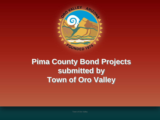

### **Pima County Bond Projects submitted by Town of Oro Valley**

Town of Oro Valley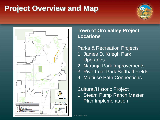## **Project Overview and Map**





#### **Town of Oro Valley Project Locations**

#### Parks & Recreation Projects

- 1. James D. Kriegh Park **Upgrades**
- 2. Naranja Park Improvements
- 3. Riverfront Park Softball Fields
- 4. Multiuse Path Connections

#### Cultural/Historic Project 1. Steam Pump Ranch Master Plan Implementation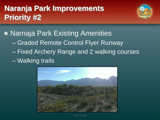# **Naranja Park Improvements Priority #2**



Narnaja Park Existing Amenities – Graded Remote Control Flyer Runway – Fixed Archery Range and 2 walking courses – Walking trails

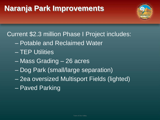### **Naranja Park Improvements**



#### Current \$2.3 million Phase I Project includes:

- Potable and Reclaimed Water
- TEP Utilities
- Mass Grading 26 acres
- Dog Park (small/large separation)
- 2ea oversized Multisport Fields (lighted)
- Paved Parking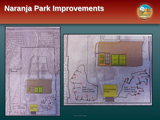### **Naranja Park Improvements**

![](_page_4_Picture_1.jpeg)

![](_page_4_Picture_2.jpeg)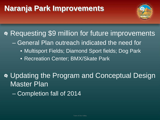### **Naranja Park Improvements**

![](_page_5_Picture_1.jpeg)

Requesting \$9 million for future improvements

- General Plan outreach indicated the need for
	- Multisport Fields; Diamond Sport fields; Dog Park
	- Recreation Center; BMX/Skate Park

Updating the Program and Conceptual Design Master Plan

– Completion fall of 2014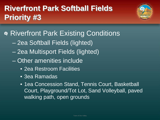# **Riverfront Park Softball Fields Priority #3**

![](_page_6_Picture_1.jpeg)

Riverfront Park Existing Conditions

- 2ea Softball Fields (lighted)
- 2ea Multisport Fields (lighted)
- Other amenities include
	- 2ea Restroom Facilities
	- 3ea Ramadas
	- 1ea Concession Stand, Tennis Court, Basketball Court, Playground/Tot Lot, Sand Volleyball, paved walking path, open grounds